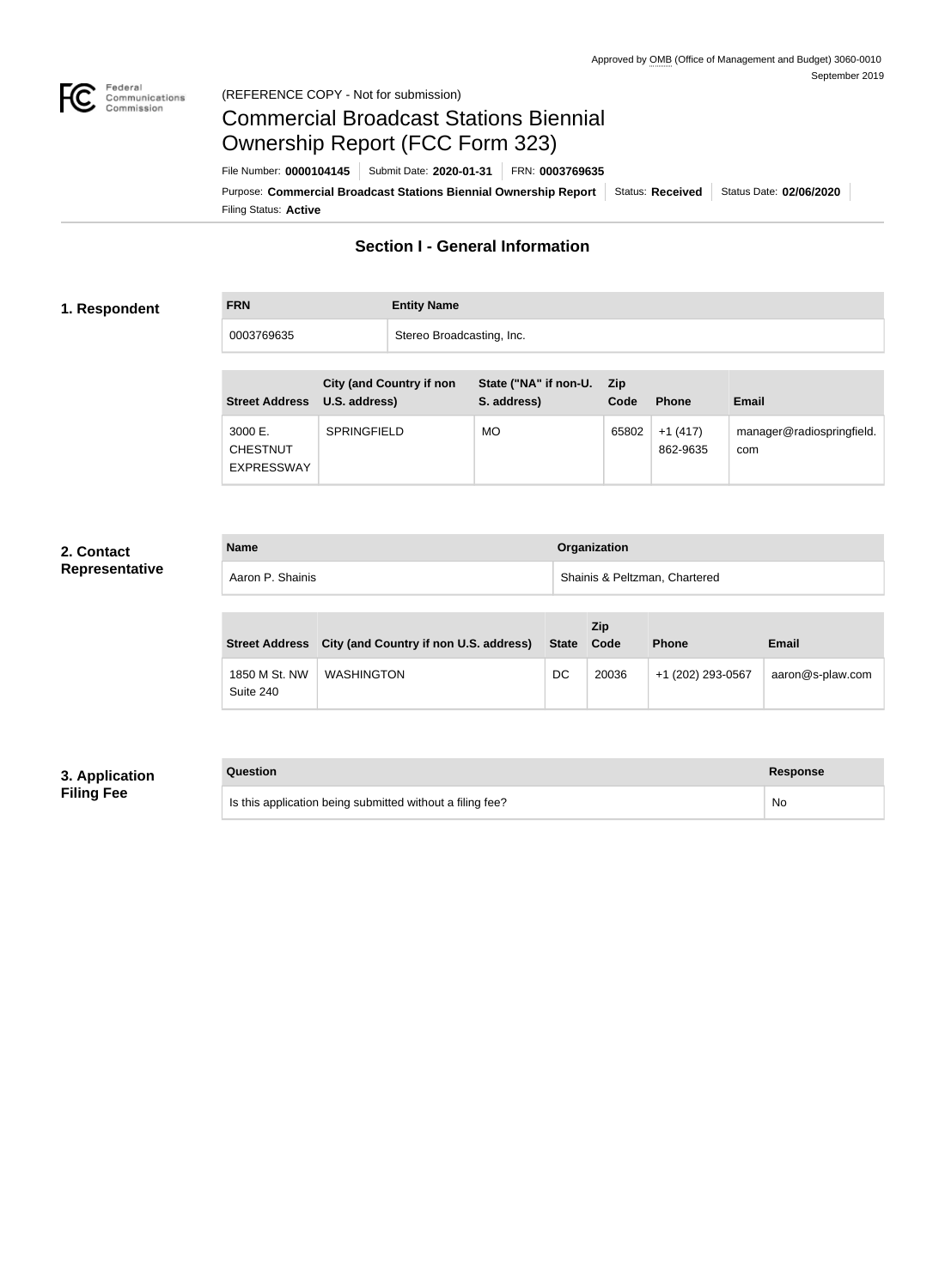

#### Federal<br>Communications<br>Commission (REFERENCE COPY - Not for submission)

# Commercial Broadcast Stations Biennial Ownership Report (FCC Form 323)

Filing Status: **Active** Purpose: Commercial Broadcast Stations Biennial Ownership Report Status: Received Status Date: 02/06/2020 File Number: **0000104145** Submit Date: **2020-01-31** FRN: **0003769635**

### **Section I - General Information**

#### **1. Respondent**

**FRN Entity Name**

0003769635 Stereo Broadcasting, Inc.

| <b>Street Address</b>                           | <b>City (and Country if non</b><br>U.S. address) | State ("NA" if non-U.<br>S. address) | <b>Zip</b><br>Code | <b>Phone</b>          | <b>Email</b>                     |
|-------------------------------------------------|--------------------------------------------------|--------------------------------------|--------------------|-----------------------|----------------------------------|
| 3000 E.<br><b>CHESTNUT</b><br><b>EXPRESSWAY</b> | <b>SPRINGFIELD</b>                               | MO                                   | 65802              | $+1(417)$<br>862-9635 | manager@radiospringfield.<br>com |

#### **2. Contact Representative**

| <b>Name</b>      | Organization                  |
|------------------|-------------------------------|
| Aaron P. Shainis | Shainis & Peltzman, Chartered |

| <b>Street Address</b>      | City (and Country if non U.S. address) | <b>State</b> | <b>Zip</b><br>Code | <b>Phone</b>      | <b>Email</b>     |
|----------------------------|----------------------------------------|--------------|--------------------|-------------------|------------------|
| 1850 M St. NW<br>Suite 240 | <b>WASHINGTON</b>                      | DC           | 20036              | +1 (202) 293-0567 | aaron@s-plaw.com |

#### **3. Application Filing Fee**

#### **Question Response**

Is this application being submitted without a filing fee? No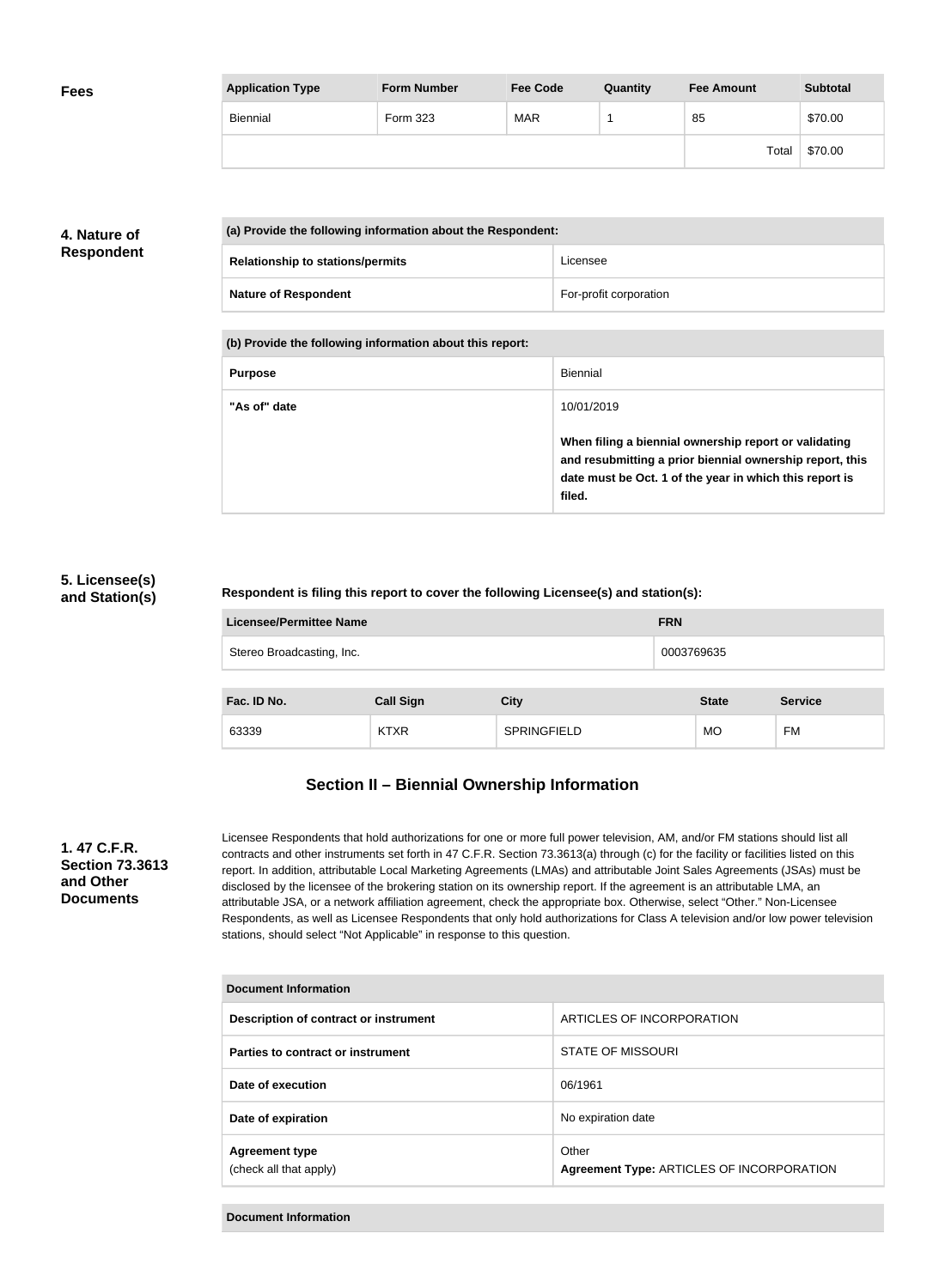| <b>Fees</b> | <b>Application Type</b> | <b>Form Number</b> | <b>Fee Code</b> | Quantity | <b>Fee Amount</b> | <b>Subtotal</b> |
|-------------|-------------------------|--------------------|-----------------|----------|-------------------|-----------------|
|             | Biennial                | Form 323           | <b>MAR</b>      |          | 85                | \$70.00         |
|             |                         |                    |                 |          | Total             | \$70.00         |

#### **4. Nature of Respondent**

| (a) Provide the following information about the Respondent: |                                         |                        |
|-------------------------------------------------------------|-----------------------------------------|------------------------|
|                                                             | <b>Relationship to stations/permits</b> | Licensee               |
|                                                             | <b>Nature of Respondent</b>             | For-profit corporation |

**(b) Provide the following information about this report:**

| <b>Purpose</b> | Biennial                                                                                                                                                                               |
|----------------|----------------------------------------------------------------------------------------------------------------------------------------------------------------------------------------|
| "As of" date   | 10/01/2019                                                                                                                                                                             |
|                | When filing a biennial ownership report or validating<br>and resubmitting a prior biennial ownership report, this<br>date must be Oct. 1 of the year in which this report is<br>filed. |

#### **5. Licensee(s) and Station(s)**

#### **Respondent is filing this report to cover the following Licensee(s) and station(s):**

| <b>Licensee/Permittee Name</b> | <b>FRN</b> |
|--------------------------------|------------|
| Stereo Broadcasting, Inc.      | 0003769635 |
|                                |            |

| Fac. ID No. | <b>Call Sign</b>    | City               | <b>State</b> | <b>Service</b> |
|-------------|---------------------|--------------------|--------------|----------------|
| 63339       | <b>KTVD</b><br>NIAR | <b>SPRINGFIELD</b> | <b>MO</b>    | <b>FM</b>      |

## **Section II – Biennial Ownership Information**

#### **1. 47 C.F.R. Section 73.3613 and Other Documents**

Licensee Respondents that hold authorizations for one or more full power television, AM, and/or FM stations should list all contracts and other instruments set forth in 47 C.F.R. Section 73.3613(a) through (c) for the facility or facilities listed on this report. In addition, attributable Local Marketing Agreements (LMAs) and attributable Joint Sales Agreements (JSAs) must be disclosed by the licensee of the brokering station on its ownership report. If the agreement is an attributable LMA, an attributable JSA, or a network affiliation agreement, check the appropriate box. Otherwise, select "Other." Non-Licensee Respondents, as well as Licensee Respondents that only hold authorizations for Class A television and/or low power television stations, should select "Not Applicable" in response to this question.

| Document Information                            |                                                    |  |  |
|-------------------------------------------------|----------------------------------------------------|--|--|
| Description of contract or instrument           | ARTICLES OF INCORPORATION                          |  |  |
| Parties to contract or instrument               | <b>STATE OF MISSOURI</b>                           |  |  |
| Date of execution                               | 06/1961                                            |  |  |
| Date of expiration                              | No expiration date                                 |  |  |
| <b>Agreement type</b><br>(check all that apply) | Other<br>Agreement Type: ARTICLES OF INCORPORATION |  |  |

**Document Information**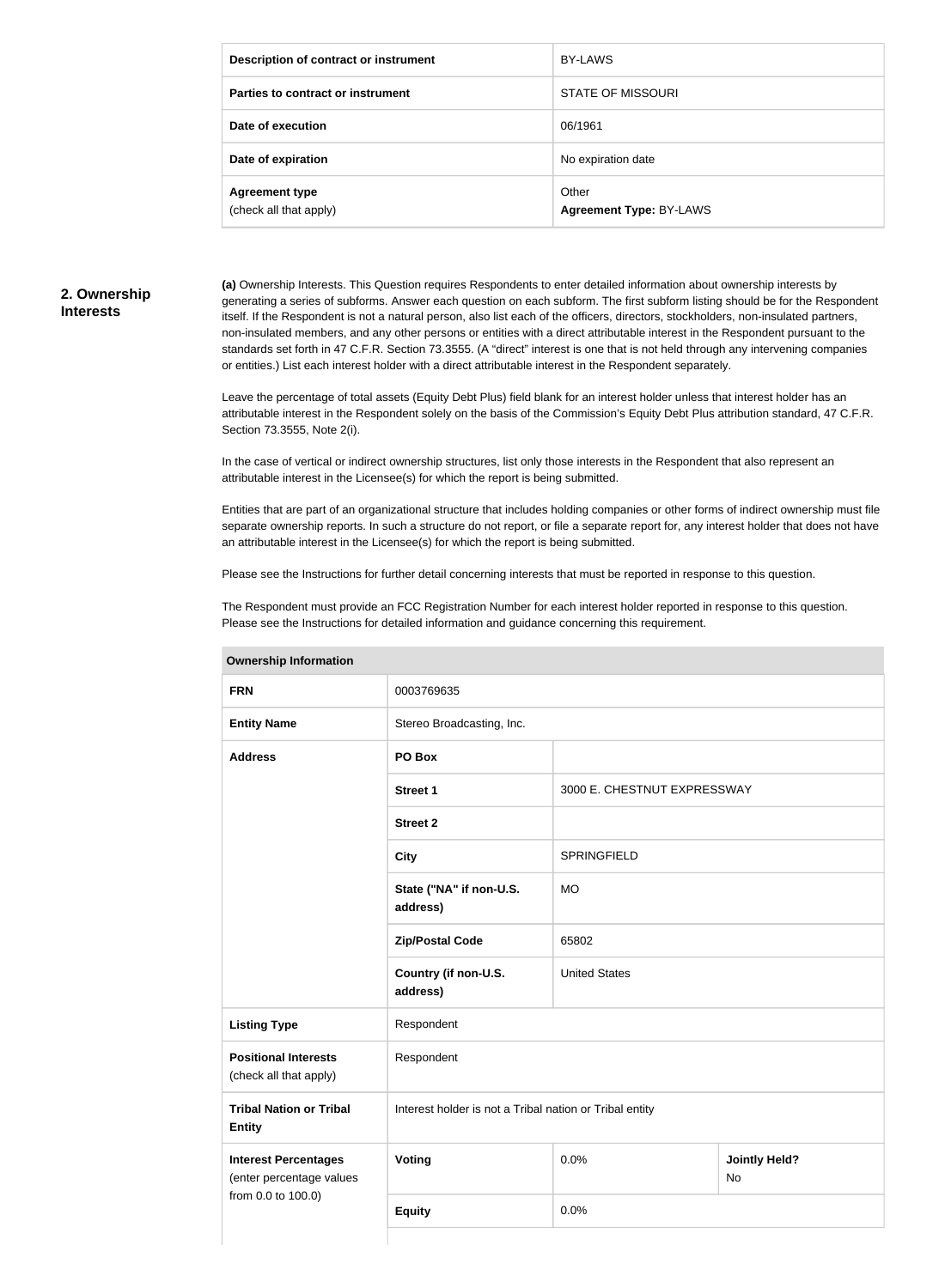| Description of contract or instrument           | BY-LAWS                          |
|-------------------------------------------------|----------------------------------|
| Parties to contract or instrument               | <b>STATE OF MISSOURI</b>         |
| Date of execution                               | 06/1961                          |
| Date of expiration                              | No expiration date               |
| <b>Agreement type</b><br>(check all that apply) | Other<br>Agreement Type: BY-LAWS |

#### **2. Ownership Interests**

**(a)** Ownership Interests. This Question requires Respondents to enter detailed information about ownership interests by generating a series of subforms. Answer each question on each subform. The first subform listing should be for the Respondent itself. If the Respondent is not a natural person, also list each of the officers, directors, stockholders, non-insulated partners, non-insulated members, and any other persons or entities with a direct attributable interest in the Respondent pursuant to the standards set forth in 47 C.F.R. Section 73.3555. (A "direct" interest is one that is not held through any intervening companies or entities.) List each interest holder with a direct attributable interest in the Respondent separately.

Leave the percentage of total assets (Equity Debt Plus) field blank for an interest holder unless that interest holder has an attributable interest in the Respondent solely on the basis of the Commission's Equity Debt Plus attribution standard, 47 C.F.R. Section 73.3555, Note 2(i).

In the case of vertical or indirect ownership structures, list only those interests in the Respondent that also represent an attributable interest in the Licensee(s) for which the report is being submitted.

Entities that are part of an organizational structure that includes holding companies or other forms of indirect ownership must file separate ownership reports. In such a structure do not report, or file a separate report for, any interest holder that does not have an attributable interest in the Licensee(s) for which the report is being submitted.

Please see the Instructions for further detail concerning interests that must be reported in response to this question.

The Respondent must provide an FCC Registration Number for each interest holder reported in response to this question. Please see the Instructions for detailed information and guidance concerning this requirement.

| <b>UWIIGI SHIP IHIUI IHAUUH</b>                         |                                                         |                             |                            |  |
|---------------------------------------------------------|---------------------------------------------------------|-----------------------------|----------------------------|--|
| <b>FRN</b>                                              | 0003769635                                              |                             |                            |  |
| <b>Entity Name</b>                                      | Stereo Broadcasting, Inc.                               |                             |                            |  |
| <b>Address</b>                                          | PO Box                                                  |                             |                            |  |
|                                                         | <b>Street 1</b>                                         | 3000 E. CHESTNUT EXPRESSWAY |                            |  |
|                                                         | <b>Street 2</b>                                         |                             |                            |  |
|                                                         | <b>City</b>                                             | <b>SPRINGFIELD</b>          |                            |  |
|                                                         | State ("NA" if non-U.S.<br>address)                     | <b>MO</b>                   |                            |  |
|                                                         | <b>Zip/Postal Code</b>                                  | 65802                       |                            |  |
|                                                         | Country (if non-U.S.<br>address)                        | <b>United States</b>        |                            |  |
| <b>Listing Type</b>                                     | Respondent                                              |                             |                            |  |
| <b>Positional Interests</b><br>(check all that apply)   | Respondent                                              |                             |                            |  |
| <b>Tribal Nation or Tribal</b><br><b>Entity</b>         | Interest holder is not a Tribal nation or Tribal entity |                             |                            |  |
| <b>Interest Percentages</b><br>(enter percentage values | <b>Voting</b>                                           | 0.0%                        | <b>Jointly Held?</b><br>No |  |
| from 0.0 to 100.0)                                      | <b>Equity</b>                                           | 0.0%                        |                            |  |
|                                                         |                                                         |                             |                            |  |

**Ownership Information**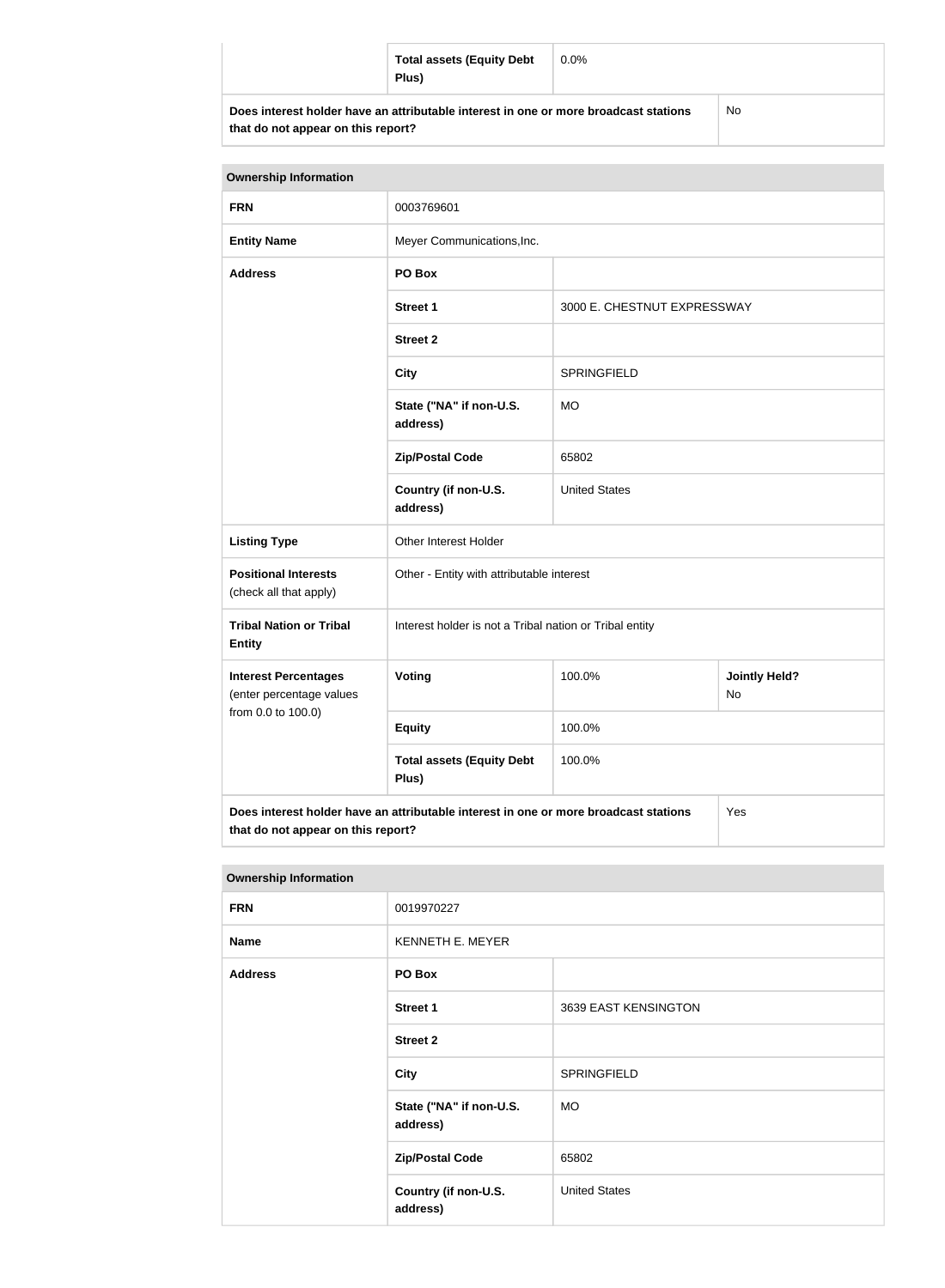|                                                                                      | <b>Total assets (Equity Debt</b><br>Plus) | $0.0\%$ |    |
|--------------------------------------------------------------------------------------|-------------------------------------------|---------|----|
| Does interest holder have an attributable interest in one or more broadcast stations |                                           |         | No |

**that do not appear on this report?**

| <b>Ownership Information</b>                                                                |                                                         |                             |                            |
|---------------------------------------------------------------------------------------------|---------------------------------------------------------|-----------------------------|----------------------------|
| <b>FRN</b>                                                                                  | 0003769601                                              |                             |                            |
| <b>Entity Name</b>                                                                          | Meyer Communications, Inc.                              |                             |                            |
| <b>Address</b>                                                                              | PO Box                                                  |                             |                            |
|                                                                                             | <b>Street 1</b>                                         | 3000 E. CHESTNUT EXPRESSWAY |                            |
|                                                                                             | <b>Street 2</b>                                         |                             |                            |
|                                                                                             | <b>City</b>                                             | <b>SPRINGFIELD</b>          |                            |
|                                                                                             | State ("NA" if non-U.S.<br>address)                     | <b>MO</b>                   |                            |
|                                                                                             | <b>Zip/Postal Code</b>                                  | 65802                       |                            |
|                                                                                             | Country (if non-U.S.<br>address)                        | <b>United States</b>        |                            |
| <b>Listing Type</b>                                                                         | Other Interest Holder                                   |                             |                            |
| <b>Positional Interests</b><br>(check all that apply)                                       | Other - Entity with attributable interest               |                             |                            |
| <b>Tribal Nation or Tribal</b><br><b>Entity</b>                                             | Interest holder is not a Tribal nation or Tribal entity |                             |                            |
| <b>Interest Percentages</b><br>(enter percentage values<br>from 0.0 to 100.0)               | Voting                                                  | 100.0%                      | <b>Jointly Held?</b><br>No |
|                                                                                             | <b>Equity</b>                                           | 100.0%                      |                            |
|                                                                                             | <b>Total assets (Equity Debt</b><br>Plus)               | 100.0%                      |                            |
| Does interest holder have an attributable interest in one or more broadcast stations<br>Yes |                                                         |                             |                            |

**that do not appear on this report?**

| <b>Ownership Information</b> |                                     |                      |
|------------------------------|-------------------------------------|----------------------|
| <b>FRN</b>                   | 0019970227                          |                      |
| <b>Name</b>                  | KENNETH E. MEYER                    |                      |
| <b>Address</b>               | PO Box                              |                      |
|                              | <b>Street 1</b>                     | 3639 EAST KENSINGTON |
|                              | <b>Street 2</b>                     |                      |
|                              | <b>City</b>                         | <b>SPRINGFIELD</b>   |
|                              | State ("NA" if non-U.S.<br>address) | <b>MO</b>            |
|                              | <b>Zip/Postal Code</b>              | 65802                |
|                              | Country (if non-U.S.<br>address)    | <b>United States</b> |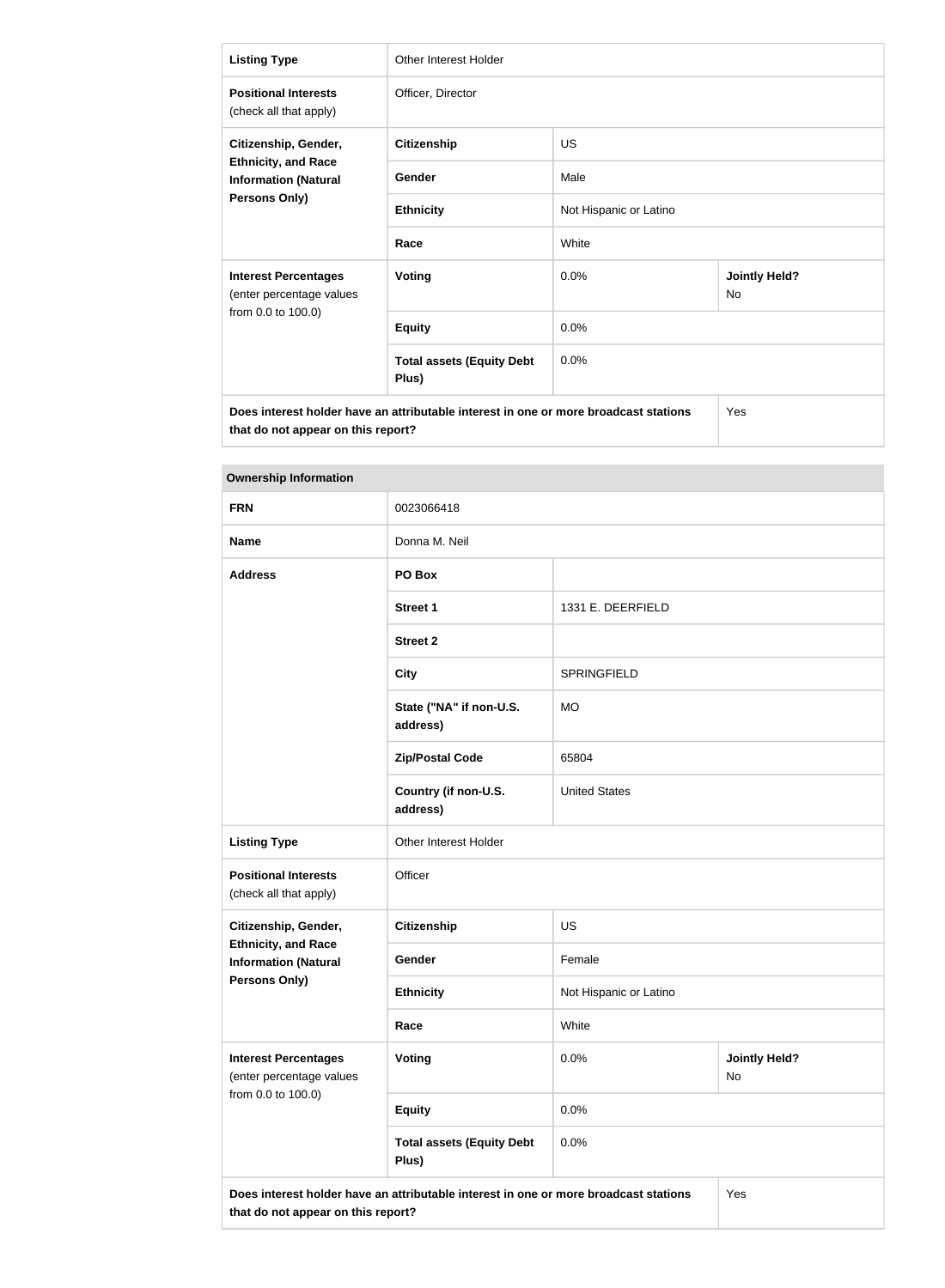| <b>Listing Type</b>                                                                                | <b>Other Interest Holder</b>                                                         |                        |                                   |
|----------------------------------------------------------------------------------------------------|--------------------------------------------------------------------------------------|------------------------|-----------------------------------|
| <b>Positional Interests</b><br>(check all that apply)                                              | Officer, Director                                                                    |                        |                                   |
| Citizenship, Gender,<br><b>Ethnicity, and Race</b><br><b>Information (Natural</b><br>Persons Only) | <b>Citizenship</b>                                                                   | <b>US</b>              |                                   |
|                                                                                                    | Gender                                                                               | Male                   |                                   |
|                                                                                                    | <b>Ethnicity</b>                                                                     | Not Hispanic or Latino |                                   |
|                                                                                                    | Race                                                                                 | White                  |                                   |
| <b>Interest Percentages</b><br>(enter percentage values<br>from 0.0 to 100.0)                      | <b>Voting</b>                                                                        | 0.0%                   | <b>Jointly Held?</b><br><b>No</b> |
|                                                                                                    | <b>Equity</b>                                                                        | 0.0%                   |                                   |
|                                                                                                    | <b>Total assets (Equity Debt</b><br>Plus)                                            | 0.0%                   |                                   |
|                                                                                                    | Does interest holder have an attributable interest in one or more broadcast stations |                        | Yes                               |

**that do not appear on this report?**

| <b>Ownership Information</b>                                                                       |                                                                                      |                        |                            |
|----------------------------------------------------------------------------------------------------|--------------------------------------------------------------------------------------|------------------------|----------------------------|
| <b>FRN</b>                                                                                         | 0023066418                                                                           |                        |                            |
| <b>Name</b>                                                                                        | Donna M. Neil                                                                        |                        |                            |
| <b>Address</b>                                                                                     | PO Box                                                                               |                        |                            |
|                                                                                                    | <b>Street 1</b>                                                                      | 1331 E. DEERFIELD      |                            |
|                                                                                                    | <b>Street 2</b>                                                                      |                        |                            |
|                                                                                                    | <b>City</b>                                                                          | <b>SPRINGFIELD</b>     |                            |
|                                                                                                    | State ("NA" if non-U.S.<br>address)                                                  | <b>MO</b>              |                            |
|                                                                                                    | <b>Zip/Postal Code</b>                                                               | 65804                  |                            |
|                                                                                                    | Country (if non-U.S.<br>address)                                                     | <b>United States</b>   |                            |
| <b>Listing Type</b>                                                                                | Other Interest Holder                                                                |                        |                            |
| <b>Positional Interests</b><br>(check all that apply)                                              | Officer                                                                              |                        |                            |
| Citizenship, Gender,<br><b>Ethnicity, and Race</b><br><b>Information (Natural</b><br>Persons Only) | <b>Citizenship</b>                                                                   | <b>US</b>              |                            |
|                                                                                                    | Gender                                                                               | Female                 |                            |
|                                                                                                    | <b>Ethnicity</b>                                                                     | Not Hispanic or Latino |                            |
|                                                                                                    | Race                                                                                 | White                  |                            |
| <b>Interest Percentages</b><br>(enter percentage values<br>from 0.0 to 100.0)                      | Voting                                                                               | 0.0%                   | <b>Jointly Held?</b><br>No |
|                                                                                                    | <b>Equity</b>                                                                        | 0.0%                   |                            |
|                                                                                                    | <b>Total assets (Equity Debt</b><br>Plus)                                            | 0.0%                   |                            |
| that do not appear on this report?                                                                 | Does interest holder have an attributable interest in one or more broadcast stations |                        | Yes                        |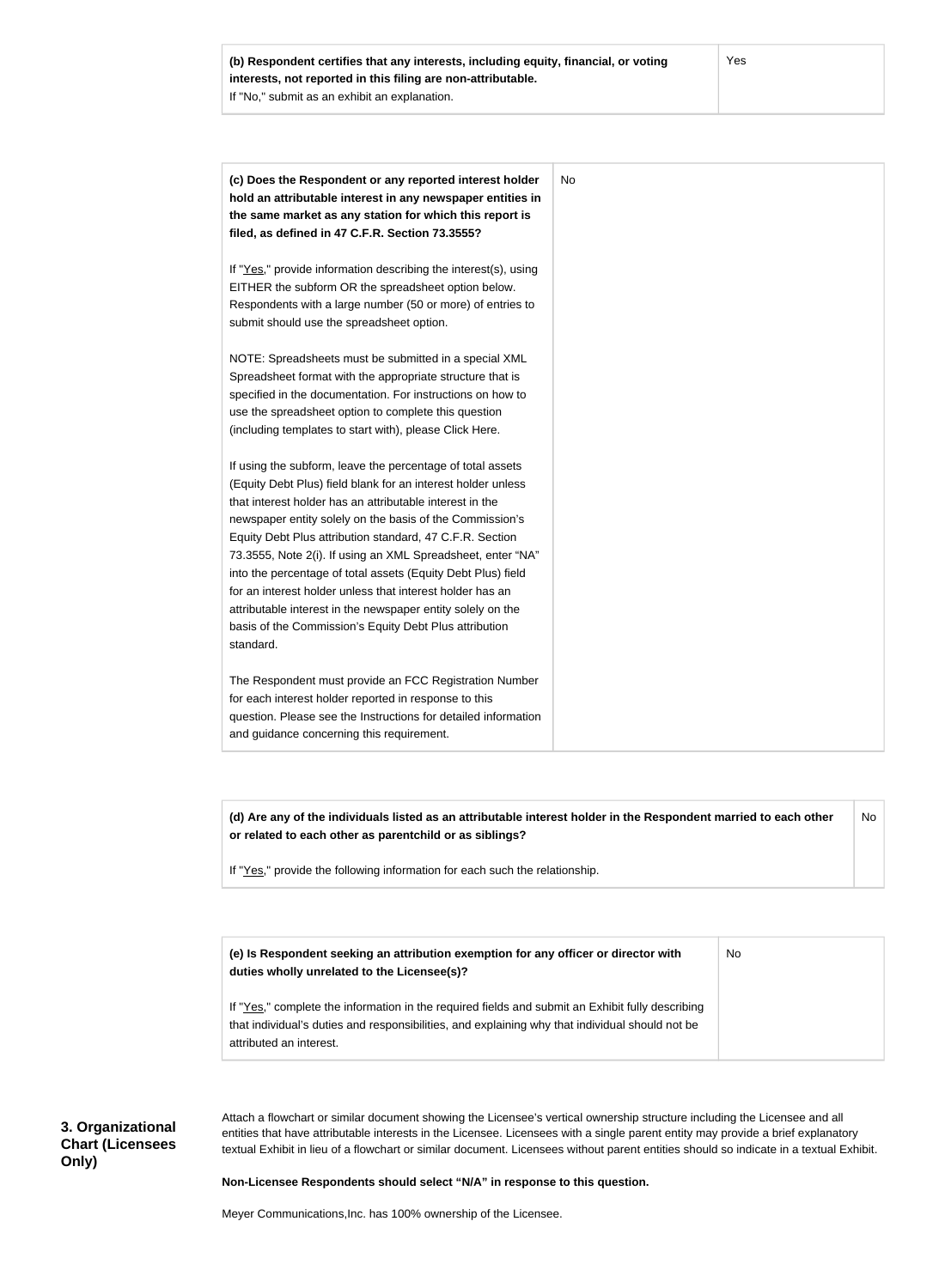| (c) Does the Respondent or any reported interest holder         | No |
|-----------------------------------------------------------------|----|
| hold an attributable interest in any newspaper entities in      |    |
| the same market as any station for which this report is         |    |
| filed, as defined in 47 C.F.R. Section 73.3555?                 |    |
| If "Yes," provide information describing the interest(s), using |    |
| EITHER the subform OR the spreadsheet option below.             |    |
| Respondents with a large number (50 or more) of entries to      |    |
| submit should use the spreadsheet option.                       |    |
| NOTE: Spreadsheets must be submitted in a special XML           |    |
| Spreadsheet format with the appropriate structure that is       |    |
| specified in the documentation. For instructions on how to      |    |
| use the spreadsheet option to complete this question            |    |
| (including templates to start with), please Click Here.         |    |
| If using the subform, leave the percentage of total assets      |    |
| (Equity Debt Plus) field blank for an interest holder unless    |    |
| that interest holder has an attributable interest in the        |    |
| newspaper entity solely on the basis of the Commission's        |    |
| Equity Debt Plus attribution standard, 47 C.F.R. Section        |    |
| 73.3555, Note 2(i). If using an XML Spreadsheet, enter "NA"     |    |
| into the percentage of total assets (Equity Debt Plus) field    |    |
| for an interest holder unless that interest holder has an       |    |
| attributable interest in the newspaper entity solely on the     |    |
| basis of the Commission's Equity Debt Plus attribution          |    |
| standard.                                                       |    |
| The Respondent must provide an FCC Registration Number          |    |
| for each interest holder reported in response to this           |    |
| question. Please see the Instructions for detailed information  |    |
| and guidance concerning this requirement.                       |    |

**(d) Are any of the individuals listed as an attributable interest holder in the Respondent married to each other or related to each other as parentchild or as siblings?** No

If "Yes," provide the following information for each such the relationship.

**(e) Is Respondent seeking an attribution exemption for any officer or director with duties wholly unrelated to the Licensee(s)?** No

If "Yes," complete the information in the required fields and submit an Exhibit fully describing that individual's duties and responsibilities, and explaining why that individual should not be attributed an interest.

**3. Organizational Chart (Licensees Only)**

Attach a flowchart or similar document showing the Licensee's vertical ownership structure including the Licensee and all entities that have attributable interests in the Licensee. Licensees with a single parent entity may provide a brief explanatory textual Exhibit in lieu of a flowchart or similar document. Licensees without parent entities should so indicate in a textual Exhibit.

**Non-Licensee Respondents should select "N/A" in response to this question.**

Meyer Communications,Inc. has 100% ownership of the Licensee.